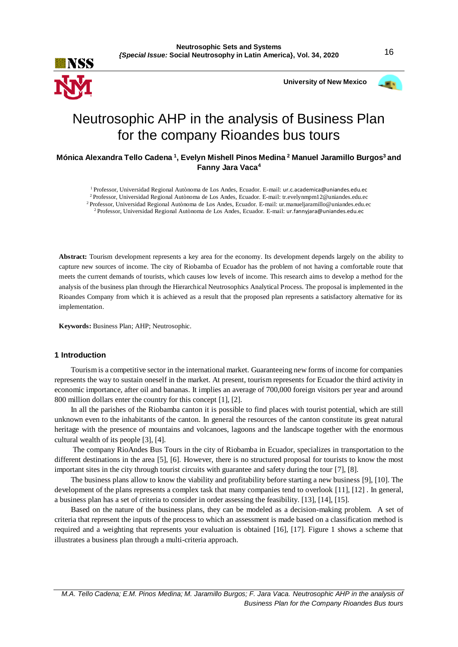

**University of New Mexico**



# Neutrosophic AHP in the analysis of Business Plan for the company Rioandes bus tours

# **Mónica Alexandra Tello Cadena <sup>1</sup> , Evelyn Mishell Pinos Medina <sup>2</sup> Manuel Jaramillo Burgos<sup>3</sup>and Fanny Jara Vaca<sup>4</sup>**

<sup>1</sup>Professor, Universidad Regional Autònoma de Los Andes, Ecuador. E-mail: ur.c.academica@uniandes.edu.ec

<sup>2</sup>Professor, Universidad Regional Autònoma de Los Andes, Ecuador. E-mail: tr.evelynmpm12@uniandes.edu.ec

<sup>2</sup>Professor, Universidad Regional Autònoma de Los Andes, Ecuador. E-mail: ur.manueljaramillo@uniandes.edu.ec

<sup>2</sup> Professor, Universidad Regional Autònoma de Los Andes, Ecuador. E-mail: ur.fannyjara@uniandes.edu.ec

**Abstract:** Tourism development represents a key area for the economy. Its development depends largely on the ability to capture new sources of income. The city of Riobamba of Ecuador has the problem of not having a comfortable route that meets the current demands of tourists, which causes low levels of income. This research aims to develop a method for the analysis of the business plan through the Hierarchical Neutrosophics Analytical Process. The proposal is implemented in the Rioandes Company from which it is achieved as a result that the proposed plan represents a satisfactory alternative for its implementation.

**Keywords:** Business Plan; AHP; Neutrosophic.

#### **1 Introduction**

Tourism is a competitive sector in the international market. Guaranteeing new forms of income for companies represents the way to sustain oneself in the market. At present, tourism represents for Ecuador the third activity in economic importance, after oil and bananas. It implies an average of 700,000 foreign visitors per year and around 800 million dollars enter the country for this concept [1], [2].

In all the parishes of the Riobamba canton it is possible to find places with tourist potential, which are still unknown even to the inhabitants of the canton. In general the resources of the canton constitute its great natural heritage with the presence of mountains and volcanoes, lagoons and the landscape together with the enormous cultural wealth of its people [3], [4].

The company RioAndes Bus Tours in the city of Riobamba in Ecuador, specializes in transportation to the different destinations in the area [5], [\[6\]](#page-6-0). However, there is no structured proposal for tourists to know the most important sites in the city through tourist circuits with guarantee and safety during the tour [\[7\]](#page-6-1), [\[8\]](#page-6-2).

The business plans allow to know the viability and profitability before starting a new business [\[9\]](#page-6-3), [\[10\]](#page-6-4). The development of the plans represents a complex task that many companies tend to overlook [\[11\]](#page-6-5), [12] . In general, a business plan has a set of criteria to consider in order assessing the feasibility. [13], [\[14\]](#page-6-6), [\[15\]](#page-6-7).

Based on the nature of the business plans, they can be modeled as a decision-making problem. A set of criteria that represent the inputs of the process to which an assessment is made based on a classification method is required and a weighting that represents your evaluation is obtained [\[16\]](#page-6-8), [\[17\]](#page-6-9). Figure 1 shows a scheme that illustrates a business plan through a multi-criteria approach.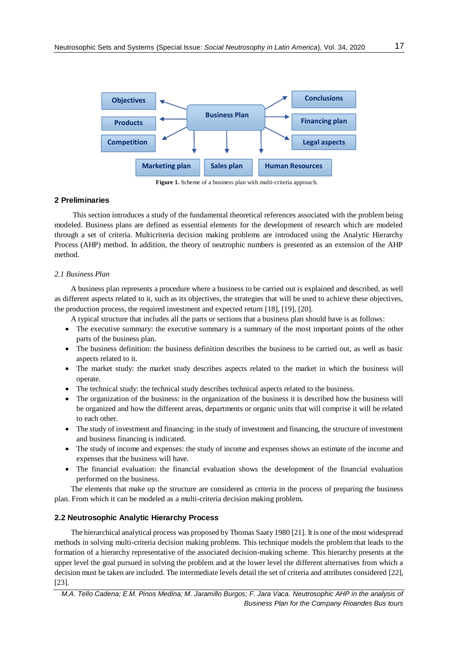

Figure 1. Scheme of a business plan with multi-criteria approach.

### **2 Preliminaries**

This section introduces a study of the fundamental theoretical references associated with the problem being modeled. Business plans are defined as essential elements for the development of research which are modeled through a set of criteria. Multicriteria decision making problems are introduced using the Analytic Hierarchy Process (AHP) method. In addition, the theory of neutrophic numbers is presented as an extension of the AHP method.

#### *2.1 Business Plan*

A business plan represents a procedure where a business to be carried out is explained and described, as well as different aspects related to it, such as its objectives, the strategies that will be used to achieve these objectives, the production process, the required investment and expected return [\[18\]](#page-6-10), [\[19\]](#page-6-11), [\[20\]](#page-6-12).

- A typical structure that includes all the parts or sections that a business plan should have is as follows:
- The executive summary: the executive summary is a summary of the most important points of the other parts of the business plan.
- The business definition: the business definition describes the business to be carried out, as well as basic aspects related to it.
- The market study: the market study describes aspects related to the market in which the business will operate.
- The technical study: the technical study describes technical aspects related to the business.
- The organization of the business: in the organization of the business it is described how the business will be organized and how the different areas, departments or organic units that will comprise it will be related to each other.
- The study of investment and financing: in the study of investment and financing, the structure of investment and business financing is indicated.
- The study of income and expenses: the study of income and expenses shows an estimate of the income and expenses that the business will have.
- The financial evaluation: the financial evaluation shows the development of the financial evaluation performed on the business.

The elements that make up the structure are considered as criteria in the process of preparing the business plan. From which it can be modeled as a multi-criteria decision making problem.

### **2.2 Neutrosophic Analytic Hierarchy Process**

The hierarchical analytical process was proposed by Thomas Saaty 1980 [\[21\]](#page-6-13). It is one of the most widespread methods in solving multi-criteria decision making problems. This technique models the problem that leads to the formation of a hierarchy representative of the associated decision-making scheme. This hierarchy presents at the upper level the goal pursued in solving the problem and at the lower level the different alternatives from which a decision must be taken are included. The intermediate levels detail the set of criteria and attributes considered [\[22\]](#page-6-14), [\[23\]](#page-6-15).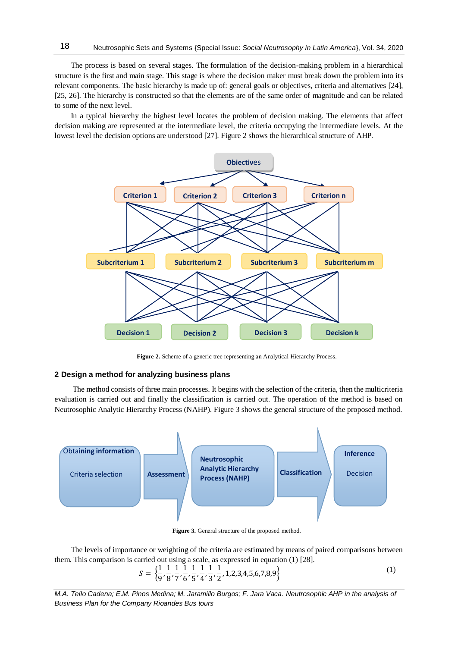The process is based on several stages. The formulation of the decision-making problem in a hierarchical structure is the first and main stage. This stage is where the decision maker must break down the problem into its relevant components. The basic hierarchy is made up of: general goals or objectives, criteria and alternatives [\[24\]](#page-7-0), [\[25,](#page-7-1) [26\]](#page-7-2). The hierarchy is constructed so that the elements are of the same order of magnitude and can be related to some of the next level.

In a typical hierarchy the highest level locates the problem of decision making. The elements that affect decision making are represented at the intermediate level, the criteria occupying the intermediate levels. At the lowest level the decision options are understood [\[27\]](#page-7-3). Figure 2 shows the hierarchical structure of AHP.



Figure 2. Scheme of a generic tree representing an Analytical Hierarchy Process.

#### **2 Design a method for analyzing business plans**

18

The method consists of three main processes. It begins with the selection of the criteria, then the multicriteria evaluation is carried out and finally the classification is carried out. The operation of the method is based on Neutrosophic Analytic Hierarchy Process (NAHP). Figure 3 shows the general structure of the proposed method.



**Figure 3.** General structure of the proposed method.

The levels of importance or weighting of the criteria are estimated by means of paired comparisons between them. This comparison is carried out using a scale, as expressed in equation (1) [\[28\]](#page-7-4).

$$
S = \left\{ \frac{1}{9}, \frac{1}{8}, \frac{1}{7}, \frac{1}{6}, \frac{1}{5}, \frac{1}{4}, \frac{1}{3}, \frac{1}{2}, 1, 2, 3, 4, 5, 6, 7, 8, 9 \right\}
$$
(1)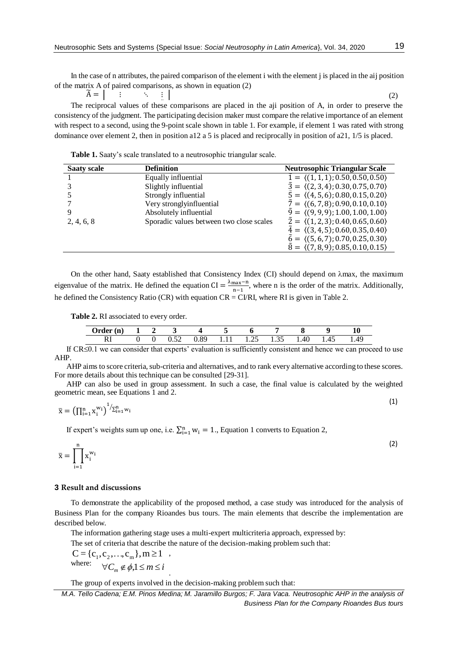In the case of n attributes, the paired comparison of the element i with the element j is placed in the aij position of the matrix A of paired comparisons, as shown in equation (2)

 $\overline{A} = |$ ⋮ ⋱ ⋮ The reciprocal values of these comparisons are placed in the aji position of A, in order to preserve the  $\qquad \qquad (2)$ consistency of the judgment. The participating decision maker must compare the relative importance of an element with respect to a second, using the 9-point scale shown in table 1. For example, if element 1 was rated with strong dominance over element 2, then in position a12 a 5 is placed and reciprocally in position of a21, 1/5 is placed.

**Table 1.** Saaty's scale translated to a neutrosophic triangular scale.

| <b>Saaty scale</b> | <b>Definition</b>                        | <b>Neutrosophic Triangular Scale</b>                      |
|--------------------|------------------------------------------|-----------------------------------------------------------|
|                    | Equally influential                      | $\tilde{1} = \langle (1,1,1); 0.50, 0.50, 0.50 \rangle$   |
|                    | Slightly influential                     | $\tilde{3} = \langle (2,3,4); 0.30, 0.75, 0.70 \rangle$   |
|                    | Strongly influential                     | $\bar{5} = \langle (4, 5, 6); 0.80, 0.15, 0.20 \rangle$   |
|                    | Very stronglyinfluential                 | $\tilde{7} = \langle (6, 7, 8); 0.90, 0.10, 0.10 \rangle$ |
|                    | Absolutely influential                   | $\tilde{9} = \langle (9, 9, 9); 1.00, 1.00, 1.00 \rangle$ |
| 2, 4, 6, 8         | Sporadic values between two close scales | $\tilde{2} = \langle (1,2,3); 0.40, 0.65, 0.60 \rangle$   |
|                    |                                          | $\tilde{4} = \langle (3,4,5); 0.60, 0.35, 0.40 \rangle$   |
|                    |                                          | $\tilde{6} = \langle (5,6,7); 0.70, 0.25, 0.30 \rangle$   |
|                    |                                          | $\bar{8} = \langle (7,8,9); 0.85, 0.10, 0.15 \rangle$     |

On the other hand, Saaty established that Consistency Index (CI) should depend on  $\lambda$ max, the maximum eigenvalue of the matrix. He defined the equation  $CI = \frac{\lambda_{\text{max}} - n}{n}$  $\frac{\text{max}-\text{m}}{\text{n}-1}$ , where n is the order of the matrix. Additionally, he defined the Consistency Ratio (CR) with equation CR = CI/RI, where RI is given in Table 2.

**Table 2.** RI associated to every order.

| Order (n) |  |      |      |      |      |              |      |      |      |
|-----------|--|------|------|------|------|--------------|------|------|------|
|           |  | 0.52 | 0.89 | 1.11 | 1.25 | 1 35<br>1.JJ | 4.40 | 1.45 | 1.49 |

If  $CR \leq 0.1$  we can consider that experts' evaluation is sufficiently consistent and hence we can proceed to use AHP.

AHP aims to score criteria, sub-criteria and alternatives, and to rank every alternative according to these scores. For more details about this technique can be consulted [\[29-31\]](#page-7-5).

AHP can also be used in group assessment. In such a case, the final value is calculated by the weighted geometric mean, see Equations 1 and 2.  $(1)$ 

$$
\overline{\mathbf{x}} = \left(\prod_{i=1}^{n} \mathbf{x}_i^{w_i}\right)^{1/2} \sum_{i=1}^{n} w_i
$$

If expert's weights sum up one, i.e.  $\sum_{i=1}^{n} w_i = 1$ ., Equation 1 converts to Equation 2,

$$
\overline{\mathbf{x}} = \prod_{i=1}^{n} \mathbf{x}_i^{w_i}
$$
 (2)

### **3 Result and discussions**

To demonstrate the applicability of the proposed method, a case study was introduced for the analysis of Business Plan for the company Rioandes bus tours. The main elements that describe the implementation are described below.

The information gathering stage uses a multi-expert multicriteria approach, expressed by:

The set of criteria that describe the nature of the decision-making problem such that:

 $C = \{c_1, c_2, \ldots, c_m\}, m \ge 1$ , where:  $\forall C_m \notin \phi, 1 \leq m \leq i$ 

The group of experts involved in the decision-making problem such that:

.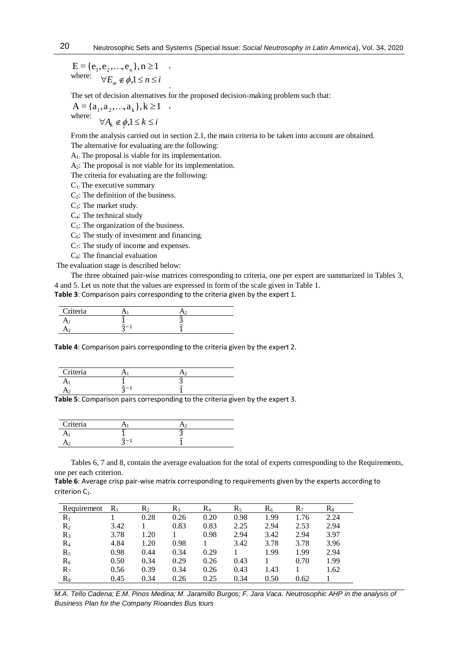where:  $\forall E_m \notin \phi, 1 \leq n \leq i$  $E = \{e_1, e_2, \ldots, e_n\}, n \ge 1$ 

The set of decision alternatives for the proposed decision-making problem such that:

,

.

, where:  $\forall A_k \notin \phi, 1 \leq k \leq i$  $A = \{a_1, a_2, \ldots, a_k\}, k \ge 1$ 

From the analysis carried out in section 2.1, the main criteria to be taken into account are obtained.

The alternative for evaluating are the following:

A1: The proposal is viable for its implementation.

A2: The proposal is not viable for its implementation.

The criteria for evaluating are the following:

 $C_1$ : The executive summary

 $C_2$ : The definition of the business.

C<sub>3</sub>: The market study.

C4: The technical study

 $C<sub>5</sub>$ : The organization of the business.

 $C_6$ : The study of investment and financing.

 $C_7$ : The study of income and expenses.

 $C_8$ : The financial evaluation

The evaluation stage is described below:

The three obtained pair-wise matrices corresponding to criteria, one per expert are summarized in Tables 3,

4 and 5. Let us note that the values are expressed in form of the scale given in Table 1.

**Table 3**: Comparison pairs corresponding to the criteria given by the expert 1.

| Criteria |               |            |  |
|----------|---------------|------------|--|
|          | J             | J          |  |
|          | $\sim$<br>$-$ | $\tilde{}$ |  |

**Table 4**: Comparison pairs corresponding to the criteria given by the expert 2.

| Criteria |                       |                       |  |
|----------|-----------------------|-----------------------|--|
| ٠.       | $\tilde{\phantom{a}}$ | $\tilde{\phantom{a}}$ |  |
|          | $\tilde{\phantom{a}}$ | $\tilde{}$            |  |

**Table 5**: Comparison pairs corresponding to the criteria given by the expert 3.

| Criteria |                       |                       |  |
|----------|-----------------------|-----------------------|--|
|          |                       |                       |  |
|          | $\tilde{\phantom{a}}$ | $\tilde{\phantom{a}}$ |  |

Tables 6, 7 and 8, contain the average evaluation for the total of experts corresponding to the Requirements, one per each criterion.

**Table 6**: Average crisp pair-wise matrix corresponding to requirements given by the experts according to criterion C<sub>1</sub>.

| Requirement | $R_1$ | $R_2$ | R٩   | $R_4$ | $R_5$ | $R_6$ | $R_7$ | $R_8$ |
|-------------|-------|-------|------|-------|-------|-------|-------|-------|
| $\rm R_1$   |       | 0.28  | 0.26 | 0.20  | 0.98  | 1.99  | 1.76  | 2.24  |
| $\rm R_2$   | 3.42  |       | 0.83 | 0.83  | 2.25  | 2.94  | 2.53  | 2.94  |
| $R_3$       | 3.78  | 1.20  |      | 0.98  | 2.94  | 3.42  | 2.94  | 3.97  |
| $\rm R_4$   | 4.84  | 1.20  | 0.98 |       | 3.42  | 3.78  | 3.78  | 3.96  |
| $R_5$       | 0.98  | 0.44  | 0.34 | 0.29  |       | 1.99  | 1.99  | 2.94  |
| $R_6$       | 0.50  | 0.34  | 0.29 | 0.26  | 0.43  |       | 0.70  | 1.99  |
| $R_7$       | 0.56  | 0.39  | 0.34 | 0.26  | 0.43  | 1.43  |       | 1.62  |
| $\rm R_8$   | 0.45  | 0.34  | 0.26 | 0.25  | 0.34  | 0.50  | 0.62  |       |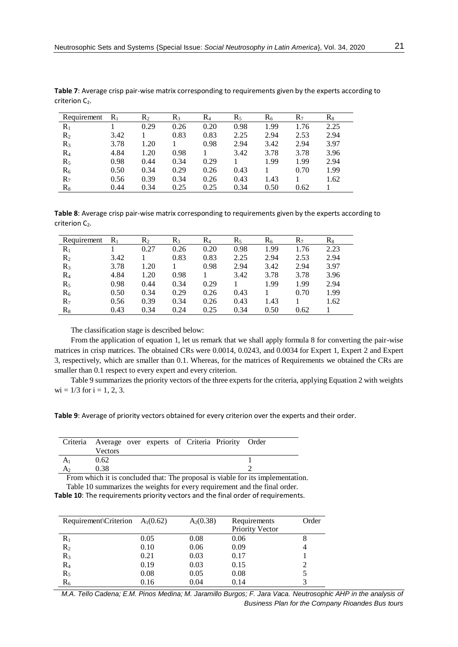| Requirement | $R_1$ | $\rm R_2$ | $R_3$ | $R_4$ | $R_5$ | $\rm R_6$ | $R_7$ | $\rm R_8$ |
|-------------|-------|-----------|-------|-------|-------|-----------|-------|-----------|
| $R_1$       |       | 0.29      | 0.26  | 0.20  | 0.98  | 1.99      | 1.76  | 2.25      |
| $R_2$       | 3.42  |           | 0.83  | 0.83  | 2.25  | 2.94      | 2.53  | 2.94      |
| $R_3$       | 3.78  | 1.20      |       | 0.98  | 2.94  | 3.42      | 2.94  | 3.97      |
| $R_4$       | 4.84  | 1.20      | 0.98  |       | 3.42  | 3.78      | 3.78  | 3.96      |
| $R_5$       | 0.98  | 0.44      | 0.34  | 0.29  |       | 1.99      | 1.99  | 2.94      |
| $R_6$       | 0.50  | 0.34      | 0.29  | 0.26  | 0.43  |           | 0.70  | 1.99      |
| $R_7$       | 0.56  | 0.39      | 0.34  | 0.26  | 0.43  | 1.43      |       | 1.62      |
| $\rm R_8$   | 0.44  | 0.34      | 0.25  | 0.25  | 0.34  | 0.50      | 0.62  |           |

**Table 7**: Average crisp pair-wise matrix corresponding to requirements given by the experts according to criterion C<sub>2</sub>.

**Table 8**: Average crisp pair-wise matrix corresponding to requirements given by the experts according to criterion C<sub>2</sub>.

| Requirement | $R_1$ | $\rm R_2$ | R٩   | $R_4$ | $R_5$ | $R_6$ | $R_7$ | $R_8$ |
|-------------|-------|-----------|------|-------|-------|-------|-------|-------|
| $R_1$       |       | 0.27      | 0.26 | 0.20  | 0.98  | 1.99  | 1.76  | 2.23  |
| $R_2$       | 3.42  |           | 0.83 | 0.83  | 2.25  | 2.94  | 2.53  | 2.94  |
| $R_3$       | 3.78  | 1.20      |      | 0.98  | 2.94  | 3.42  | 2.94  | 3.97  |
| $R_4$       | 4.84  | 1.20      | 0.98 |       | 3.42  | 3.78  | 3.78  | 3.96  |
| $R_5$       | 0.98  | 0.44      | 0.34 | 0.29  |       | 1.99  | 1.99  | 2.94  |
| $R_6$       | 0.50  | 0.34      | 0.29 | 0.26  | 0.43  |       | 0.70  | 1.99  |
| $R_7$       | 0.56  | 0.39      | 0.34 | 0.26  | 0.43  | 1.43  |       | 1.62  |
| $R_8$       | 0.43  | 0.34      | 0.24 | 0.25  | 0.34  | 0.50  | 0.62  |       |
|             |       |           |      |       |       |       |       |       |

The classification stage is described below:

From the application of equation 1, let us remark that we shall apply formula 8 for converting the pair-wise matrices in crisp matrices. The obtained CRs were 0.0014, 0.0243, and 0.0034 for Expert 1, Expert 2 and Expert 3, respectively, which are smaller than 0.1. Whereas, for the matrices of Requirements we obtained the CRs are smaller than 0.1 respect to every expert and every criterion.

Table 9 summarizes the priority vectors of the three experts for the criteria, applying Equation 2 with weights  $wi = 1/3$  for  $i = 1, 2, 3$ .

**Table 9**: Average of priority vectors obtained for every criterion over the experts and their order.

| Criteria Average over experts of Criteria Priority Order | <b>Vectors</b> |  |  |  |  |
|----------------------------------------------------------|----------------|--|--|--|--|
| A <sub>1</sub>                                           | 0.62           |  |  |  |  |
| A <sub>2</sub>                                           | 0.38           |  |  |  |  |

From which it is concluded that: The proposal is viable for its implementation.

Table 10 summarizes the weights for every requirement and the final order. **Table 10**: The requirements priority vectors and the final order of requirements.

| Requirement Criterion | $A_1(0.62)$ | $A_2(0.38)$ | Requirements<br><b>Priority Vector</b> | Order |
|-----------------------|-------------|-------------|----------------------------------------|-------|
| $R_1$                 | 0.05        | 0.08        | 0.06                                   |       |
| $R_2$                 | 0.10        | 0.06        | 0.09                                   |       |
| $R_3$                 | 0.21        | 0.03        | 0.17                                   |       |
| $\rm R_4$             | 0.19        | 0.03        | 0.15                                   |       |
| $R_5$                 | 0.08        | 0.05        | 0.08                                   |       |
| $\rm R_6$             | 0.16        | 0.04        | 0.14                                   |       |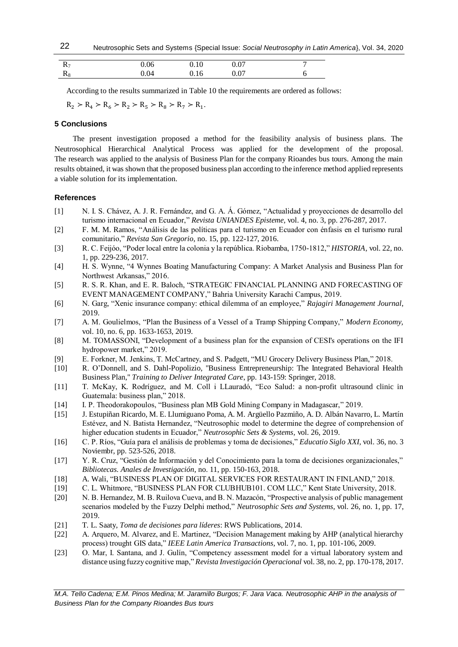| $R_7$      | 0.06 | $0.10\,$ | 0.07 |  |
|------------|------|----------|------|--|
| <b>178</b> | 0.04 | U. I b   | 0.07 |  |

According to the results summarized in Table 10 the requirements are ordered as follows:

 $R_2 > R_4 > R_6 > R_2 > R_5 > R_8 > R_7 > R_1$ .

## **5 Conclusions**

The present investigation proposed a method for the feasibility analysis of business plans. The Neutrosophical Hierarchical Analytical Process was applied for the development of the proposal. The research was applied to the analysis of Business Plan for the company Rioandes bus tours. Among the main results obtained, it was shown that the proposed business plan according to the inference method applied represents a viable solution for its implementation.

# **References**

- [1] N. I. S. Chávez, A. J. R. Fernández, and G. A. Á. Gómez, "Actualidad y proyecciones de desarrollo del turismo internacional en Ecuador," *Revista UNIANDES Episteme,* vol. 4, no. 3, pp. 276-287, 2017.
- [2] F. M. M. Ramos, "Análisis de las políticas para el turismo en Ecuador con énfasis en el turismo rural comunitario," *Revista San Gregorio*, no. 15, pp. 122-127, 2016.
- [3] R. C. Feijóo, "Poder local entre la colonia y la república. Riobamba, 1750-1812," *HISTORIA,* vol. 22, no. 1, pp. 229-236, 2017.
- [4] H. S. Wynne, "4 Wynnes Boating Manufacturing Company: A Market Analysis and Business Plan for Northwest Arkansas," 2016.
- [5] R. S. R. Khan, and E. R. Baloch, "STRATEGIC FINANCIAL PLANNING AND FORECASTING OF EVENT MANAGEMENT COMPANY," Bahria University Karachi Campus, 2019.
- <span id="page-6-0"></span>[6] N. Garg, "Xenic insurance company: ethical dilemma of an employee," *Rajagiri Management Journal*, 2019.
- <span id="page-6-1"></span>[7] A. M. Goulielmos, "Plan the Business of a Vessel of a Tramp Shipping Company," *Modern Economy,* vol. 10, no. 6, pp. 1633-1653, 2019.
- <span id="page-6-2"></span>[8] M. TOMASSONI, "Development of a business plan for the expansion of CESI's operations on the IFI hydropower market," 2019.
- <span id="page-6-3"></span>[9] E. Forkner, M. Jenkins, T. McCartney, and S. Padgett, "MU Grocery Delivery Business Plan," 2018.
- <span id="page-6-4"></span>[10] R. O'Donnell, and S. Dahl-Popolizio, "Business Entrepreneurship: The Integrated Behavioral Health Business Plan," *Training to Deliver Integrated Care*, pp. 143-159: Springer, 2018.
- <span id="page-6-5"></span>[11] T. McKay, K. Rodríguez, and M. Coll i LLauradó, "Eco Salud: a non-profit ultrasound clinic in Guatemala: business plan," 2018.
- <span id="page-6-6"></span>[14] I. P. Theodorakopoulos, "Business plan MB Gold Mining Company in Madagascar," 2019.
- <span id="page-6-7"></span>[15] J. Estupiñan Ricardo, M. E. Llumiguano Poma, A. M. Argüello Pazmiño, A. D. Albán Navarro, L. Martín Estévez, and N. Batista Hernandez, "Neutrosophic model to determine the degree of comprehension of higher education students in Ecuador," *Neutrosophic Sets & Systems,* vol. 26, 2019.
- <span id="page-6-8"></span>[16] C. P. Ríos, "Guía para el análisis de problemas y toma de decisiones," *Educatio Siglo XXI,* vol. 36, no. 3 Noviembr, pp. 523-526, 2018.
- <span id="page-6-9"></span>[17] Y. R. Cruz, "Gestión de Información y del Conocimiento para la toma de decisiones organizacionales," *Bibliotecas. Anales de Investigación*, no. 11, pp. 150-163, 2018.
- <span id="page-6-10"></span>[18] A. Wali, "BUSINESS PLAN OF DIGITAL SERVICES FOR RESTAURANT IN FINLAND," 2018.
- <span id="page-6-11"></span>[19] C. L. Whitmore, "BUSINESS PLAN FOR CLUBHUB101. COM LLC," Kent State University, 2018.
- <span id="page-6-12"></span>[20] N. B. Hernandez, M. B. Ruilova Cueva, and B. N. Mazacón, "Prospective analysis of public management scenarios modeled by the Fuzzy Delphi method," *Neutrosophic Sets and Systems,* vol. 26, no. 1, pp. 17, 2019.
- <span id="page-6-13"></span>[21] T. L. Saaty, *Toma de decisiones para líderes*: RWS Publications, 2014.
- <span id="page-6-14"></span>[22] A. Arquero, M. Alvarez, and E. Martinez, "Decision Management making by AHP (analytical hierarchy process) trought GIS data," *IEEE Latin America Transactions,* vol. 7, no. 1, pp. 101-106, 2009.
- <span id="page-6-15"></span>[23] O. Mar, I. Santana, and J. Gulín, "Competency assessment model for a virtual laboratory system and distance using fuzzy cognitive map," *Revista Investigación Operacional* vol. 38, no. 2, pp. 170-178, 2017.